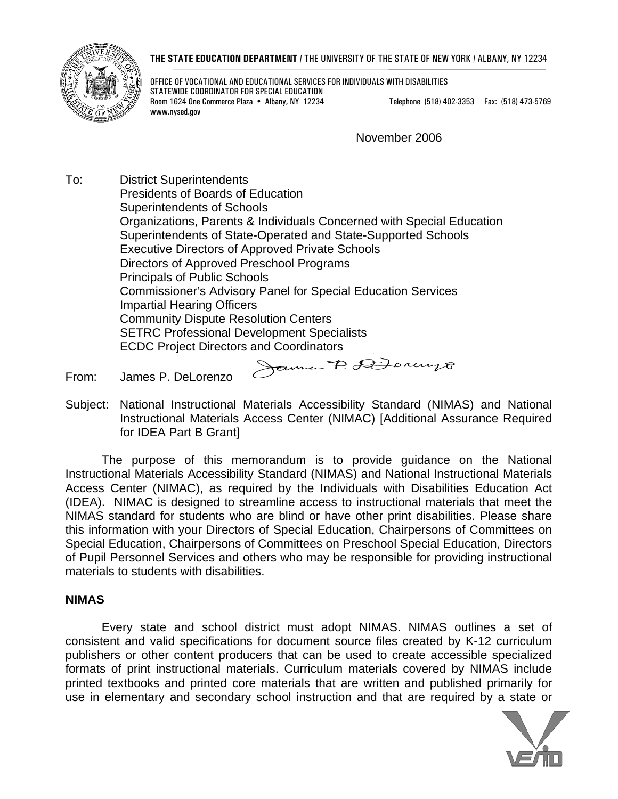#### **THE STATE EDUCATION DEPARTMENT** / THE UNIVERSITY OF THE STATE OF NEW YORK / ALBANY, NY 12234



OFFICE OF VOCATIONAL AND EDUCATIONAL SERVICES FOR INDIVIDUALS WITH DISABILITIES STATEWIDE COORDINATOR FOR SPECIAL EDUCATION Room 1624 One Commerce Plaza • Albany, NY 12234 Telephone (518) 402-3353 Fax: (518) 473-5769 www.nysed.gov

November 2006

To: District Superintendents Presidents of Boards of Education Superintendents of Schools Organizations, Parents & Individuals Concerned with Special Education Superintendents of State-Operated and State-Supported Schools Executive Directors of Approved Private Schools Directors of Approved Preschool Programs Principals of Public Schools Commissioner's Advisory Panel for Special Education Services Impartial Hearing Officers Community Dispute Resolution Centers SETRC Professional Development Specialists ECDC Project Directors and Coordinators<br>Agreement P. A Doncourse

From: James P. DeLorenzo

Subject: National Instructional Materials Accessibility Standard (NIMAS) and National Instructional Materials Access Center (NIMAC) [Additional Assurance Required for IDEA Part B Grant]

 The purpose of this memorandum is to provide guidance on the National Instructional Materials Accessibility Standard (NIMAS) and National Instructional Materials Access Center (NIMAC), as required by the Individuals with Disabilities Education Act (IDEA). NIMAC is designed to streamline access to instructional materials that meet the NIMAS standard for students who are blind or have other print disabilities. Please share this information with your Directors of Special Education, Chairpersons of Committees on Special Education, Chairpersons of Committees on Preschool Special Education, Directors of Pupil Personnel Services and others who may be responsible for providing instructional materials to students with disabilities.

#### **NIMAS**

 Every state and school district must adopt NIMAS. NIMAS outlines a set of consistent and valid specifications for document source files created by K-12 curriculum publishers or other content producers that can be used to create accessible specialized formats of print instructional materials. Curriculum materials covered by NIMAS include printed textbooks and printed core materials that are written and published primarily for use in elementary and secondary school instruction and that are required by a state or

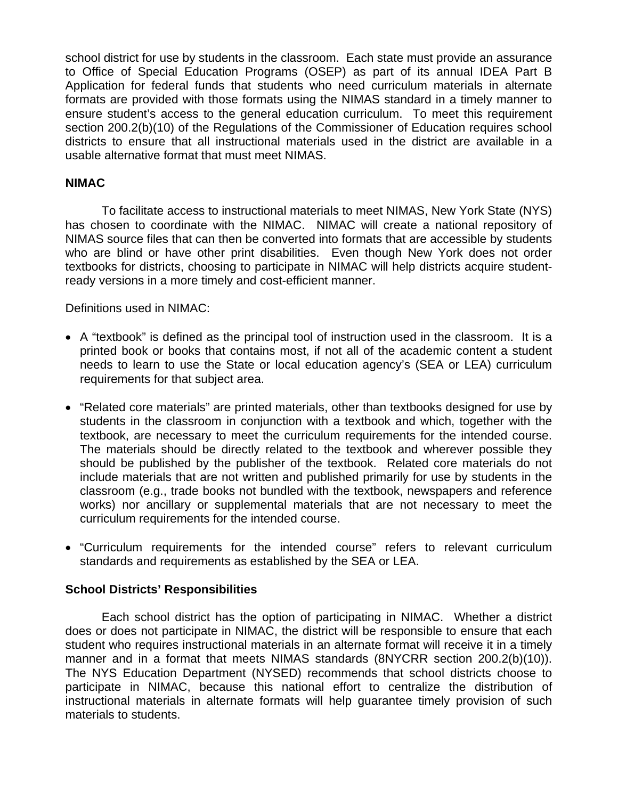school district for use by students in the classroom. Each state must provide an assurance to Office of Special Education Programs (OSEP) as part of its annual IDEA Part B Application for federal funds that students who need curriculum materials in alternate formats are provided with those formats using the NIMAS standard in a timely manner to ensure student's access to the general education curriculum. To meet this requirement section 200.2(b)(10) of the Regulations of the Commissioner of Education requires school districts to ensure that all instructional materials used in the district are available in a usable alternative format that must meet NIMAS.

## **NIMAC**

 To facilitate access to instructional materials to meet NIMAS, New York State (NYS) has chosen to coordinate with the NIMAC. NIMAC will create a national repository of NIMAS source files that can then be converted into formats that are accessible by students who are blind or have other print disabilities. Even though New York does not order textbooks for districts, choosing to participate in NIMAC will help districts acquire studentready versions in a more timely and cost-efficient manner.

Definitions used in NIMAC:

- A "textbook" is defined as the principal tool of instruction used in the classroom. It is a printed book or books that contains most, if not all of the academic content a student needs to learn to use the State or local education agency's (SEA or LEA) curriculum requirements for that subject area.
- "Related core materials" are printed materials, other than textbooks designed for use by students in the classroom in conjunction with a textbook and which, together with the textbook, are necessary to meet the curriculum requirements for the intended course. The materials should be directly related to the textbook and wherever possible they should be published by the publisher of the textbook. Related core materials do not include materials that are not written and published primarily for use by students in the classroom (e.g., trade books not bundled with the textbook, newspapers and reference works) nor ancillary or supplemental materials that are not necessary to meet the curriculum requirements for the intended course.
- "Curriculum requirements for the intended course" refers to relevant curriculum standards and requirements as established by the SEA or LEA.

## **School Districts' Responsibilities**

 Each school district has the option of participating in NIMAC. Whether a district does or does not participate in NIMAC, the district will be responsible to ensure that each student who requires instructional materials in an alternate format will receive it in a timely manner and in a format that meets NIMAS standards (8NYCRR section 200.2(b)(10)). The NYS Education Department (NYSED) recommends that school districts choose to participate in NIMAC, because this national effort to centralize the distribution of instructional materials in alternate formats will help guarantee timely provision of such materials to students.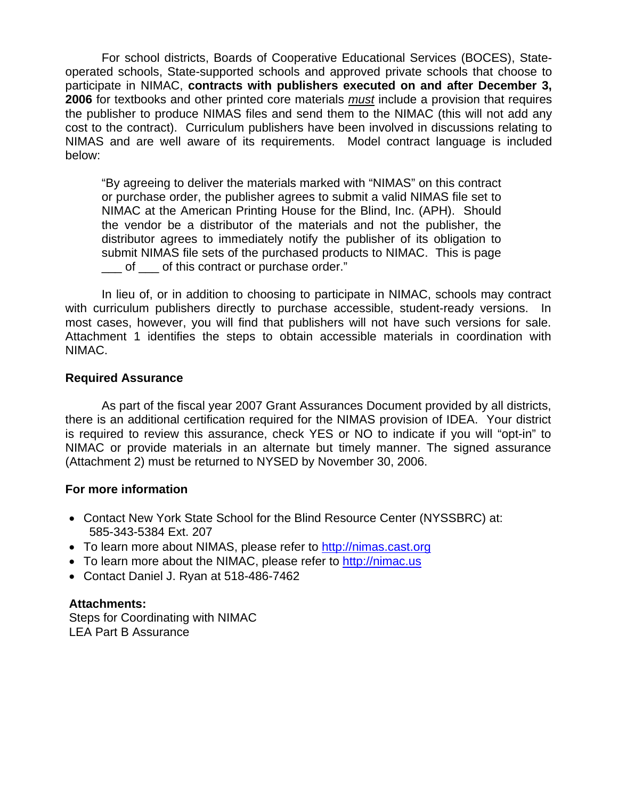For school districts, Boards of Cooperative Educational Services (BOCES), Stateoperated schools, State-supported schools and approved private schools that choose to participate in NIMAC, **contracts with publishers executed on and after December 3, 2006** for textbooks and other printed core materials *must* include a provision that requires the publisher to produce NIMAS files and send them to the NIMAC (this will not add any cost to the contract). Curriculum publishers have been involved in discussions relating to NIMAS and are well aware of its requirements. Model contract language is included below:

"By agreeing to deliver the materials marked with "NIMAS" on this contract or purchase order, the publisher agrees to submit a valid NIMAS file set to NIMAC at the American Printing House for the Blind, Inc. (APH). Should the vendor be a distributor of the materials and not the publisher, the distributor agrees to immediately notify the publisher of its obligation to submit NIMAS file sets of the purchased products to NIMAC. This is page of of this contract or purchase order."

 In lieu of, or in addition to choosing to participate in NIMAC, schools may contract with curriculum publishers directly to purchase accessible, student-ready versions. In most cases, however, you will find that publishers will not have such versions for sale. Attachment 1 identifies the steps to obtain accessible materials in coordination with NIMAC.

### **Required Assurance**

 As part of the fiscal year 2007 Grant Assurances Document provided by all districts, there is an additional certification required for the NIMAS provision of IDEA. Your district is required to review this assurance, check YES or NO to indicate if you will "opt-in" to NIMAC or provide materials in an alternate but timely manner. The signed assurance (Attachment 2) must be returned to NYSED by November 30, 2006.

#### **For more information**

- Contact New York State School for the Blind Resource Center (NYSSBRC) at: 585-343-5384 Ext. 207
- To learn more about NIMAS, please refer to [http://nimas.cast.org](http://nimas.cast.org/)
- To learn more about the NIMAC, please refer to [http://nimac.us](http://nimac.us/)
- Contact Daniel J. Ryan at 518-486-7462

## **Attachments:**

Steps for Coordinating with NIMAC LEA Part B Assurance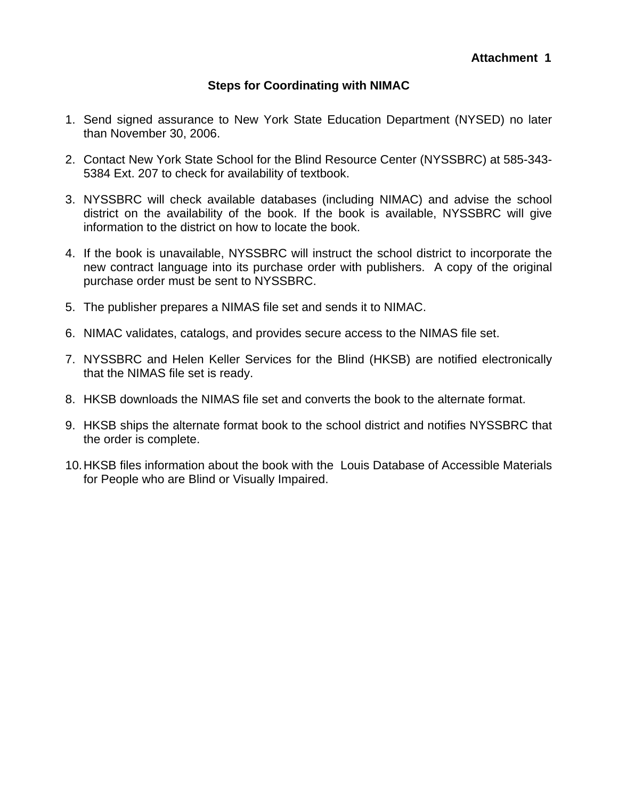# **Steps for Coordinating with NIMAC**

- 1. Send signed assurance to New York State Education Department (NYSED) no later than November 30, 2006.
- 2. Contact New York State School for the Blind Resource Center (NYSSBRC) at 585-343- 5384 Ext. 207 to check for availability of textbook.
- 3. NYSSBRC will check available databases (including NIMAC) and advise the school district on the availability of the book. If the book is available, NYSSBRC will give information to the district on how to locate the book.
- 4. If the book is unavailable, NYSSBRC will instruct the school district to incorporate the new contract language into its purchase order with publishers. A copy of the original purchase order must be sent to NYSSBRC.
- 5. The publisher prepares a NIMAS file set and sends it to NIMAC.
- 6. NIMAC validates, catalogs, and provides secure access to the NIMAS file set.
- 7. NYSSBRC and Helen Keller Services for the Blind (HKSB) are notified electronically that the NIMAS file set is ready.
- 8. HKSB downloads the NIMAS file set and converts the book to the alternate format.
- 9. HKSB ships the alternate format book to the school district and notifies NYSSBRC that the order is complete.
- 10. HKSB files information about the book with the Louis Database of Accessible Materials for People who are Blind or Visually Impaired.